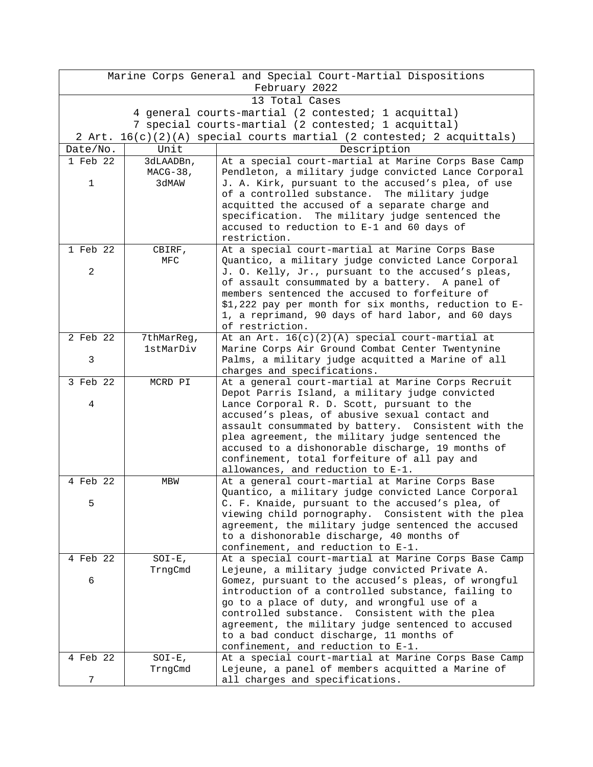| 13 Total Cases<br>4 general courts-martial (2 contested; 1 acquittal)<br>7 special courts-martial (2 contested; 1 acquittal)<br>2 Art. $16(c)(2)(A)$ special courts martial (2 contested; 2 acquittals)<br>Unit<br>Description<br>Date/No.<br>1 Feb 22<br>At a special court-martial at Marine Corps Base Camp<br>3dLAADBn,<br>Pendleton, a military judge convicted Lance Corporal<br>$MACG-38$ ,<br>3dMAW<br>J. A. Kirk, pursuant to the accused's plea, of use<br>$\mathbf{1}$<br>of a controlled substance. The military judge<br>acquitted the accused of a separate charge and<br>specification. The military judge sentenced the<br>accused to reduction to E-1 and 60 days of<br>restriction.<br>1 Feb 22<br>At a special court-martial at Marine Corps Base<br>CBIRF,<br>Quantico, a military judge convicted Lance Corporal<br>MFC<br>$\overline{a}$<br>J. O. Kelly, Jr., pursuant to the accused's pleas,<br>of assault consummated by a battery. A panel of<br>members sentenced the accused to forfeiture of<br>\$1,222 pay per month for six months, reduction to E-<br>1, a reprimand, 90 days of hard labor, and 60 days<br>of restriction.<br>2 Feb 22<br>7thMarReg,<br>At an Art. $16(c)(2)(A)$ special court-martial at<br>Marine Corps Air Ground Combat Center Twentynine<br><b>1stMarDiv</b><br>3<br>Palms, a military judge acquitted a Marine of all<br>charges and specifications.<br>3 Feb 22<br>MCRD PI<br>At a general court-martial at Marine Corps Recruit<br>Depot Parris Island, a military judge convicted<br>4<br>Lance Corporal R. D. Scott, pursuant to the<br>accused's pleas, of abusive sexual contact and<br>assault consummated by battery. Consistent with the<br>plea agreement, the military judge sentenced the<br>accused to a dishonorable discharge, 19 months of<br>confinement, total forfeiture of all pay and<br>allowances, and reduction to E-1.<br>4 Feb 22<br>MBW<br>At a general court-martial at Marine Corps Base<br>Quantico, a military judge convicted Lance Corporal<br>C. F. Knaide, pursuant to the accused's plea, of<br>5<br>viewing child pornography. Consistent with the plea<br>agreement, the military judge sentenced the accused<br>to a dishonorable discharge, 40 months of<br>confinement, and reduction to E-1.<br>4 Feb 22<br>At a special court-martial at Marine Corps Base Camp<br>$SOT-E$ ,<br>Lejeune, a military judge convicted Private A.<br>TrngCmd<br>6<br>Gomez, pursuant to the accused's pleas, of wrongful<br>introduction of a controlled substance, failing to<br>go to a place of duty, and wrongful use of a<br>controlled substance. Consistent with the plea<br>agreement, the military judge sentenced to accused<br>to a bad conduct discharge, 11 months of<br>confinement, and reduction to E-1.<br>4 Feb 22<br>At a special court-martial at Marine Corps Base Camp<br>$SOI-E$ ,<br>Lejeune, a panel of members acquitted a Marine of<br>TrngCmd |               |  | Marine Corps General and Special Court-Martial Dispositions |  |  |
|----------------------------------------------------------------------------------------------------------------------------------------------------------------------------------------------------------------------------------------------------------------------------------------------------------------------------------------------------------------------------------------------------------------------------------------------------------------------------------------------------------------------------------------------------------------------------------------------------------------------------------------------------------------------------------------------------------------------------------------------------------------------------------------------------------------------------------------------------------------------------------------------------------------------------------------------------------------------------------------------------------------------------------------------------------------------------------------------------------------------------------------------------------------------------------------------------------------------------------------------------------------------------------------------------------------------------------------------------------------------------------------------------------------------------------------------------------------------------------------------------------------------------------------------------------------------------------------------------------------------------------------------------------------------------------------------------------------------------------------------------------------------------------------------------------------------------------------------------------------------------------------------------------------------------------------------------------------------------------------------------------------------------------------------------------------------------------------------------------------------------------------------------------------------------------------------------------------------------------------------------------------------------------------------------------------------------------------------------------------------------------------------------------------------------------------------------------------------------------------------------------------------------------------------------------------------------------------------------------------------------------------------------------------------------------------------------------------------------------------------------------------------------------------------------------------------------------------------------------------------------------------------------------------------------------------------------------|---------------|--|-------------------------------------------------------------|--|--|
|                                                                                                                                                                                                                                                                                                                                                                                                                                                                                                                                                                                                                                                                                                                                                                                                                                                                                                                                                                                                                                                                                                                                                                                                                                                                                                                                                                                                                                                                                                                                                                                                                                                                                                                                                                                                                                                                                                                                                                                                                                                                                                                                                                                                                                                                                                                                                                                                                                                                                                                                                                                                                                                                                                                                                                                                                                                                                                                                                          | February 2022 |  |                                                             |  |  |
|                                                                                                                                                                                                                                                                                                                                                                                                                                                                                                                                                                                                                                                                                                                                                                                                                                                                                                                                                                                                                                                                                                                                                                                                                                                                                                                                                                                                                                                                                                                                                                                                                                                                                                                                                                                                                                                                                                                                                                                                                                                                                                                                                                                                                                                                                                                                                                                                                                                                                                                                                                                                                                                                                                                                                                                                                                                                                                                                                          |               |  |                                                             |  |  |
|                                                                                                                                                                                                                                                                                                                                                                                                                                                                                                                                                                                                                                                                                                                                                                                                                                                                                                                                                                                                                                                                                                                                                                                                                                                                                                                                                                                                                                                                                                                                                                                                                                                                                                                                                                                                                                                                                                                                                                                                                                                                                                                                                                                                                                                                                                                                                                                                                                                                                                                                                                                                                                                                                                                                                                                                                                                                                                                                                          |               |  |                                                             |  |  |
|                                                                                                                                                                                                                                                                                                                                                                                                                                                                                                                                                                                                                                                                                                                                                                                                                                                                                                                                                                                                                                                                                                                                                                                                                                                                                                                                                                                                                                                                                                                                                                                                                                                                                                                                                                                                                                                                                                                                                                                                                                                                                                                                                                                                                                                                                                                                                                                                                                                                                                                                                                                                                                                                                                                                                                                                                                                                                                                                                          |               |  |                                                             |  |  |
|                                                                                                                                                                                                                                                                                                                                                                                                                                                                                                                                                                                                                                                                                                                                                                                                                                                                                                                                                                                                                                                                                                                                                                                                                                                                                                                                                                                                                                                                                                                                                                                                                                                                                                                                                                                                                                                                                                                                                                                                                                                                                                                                                                                                                                                                                                                                                                                                                                                                                                                                                                                                                                                                                                                                                                                                                                                                                                                                                          |               |  |                                                             |  |  |
|                                                                                                                                                                                                                                                                                                                                                                                                                                                                                                                                                                                                                                                                                                                                                                                                                                                                                                                                                                                                                                                                                                                                                                                                                                                                                                                                                                                                                                                                                                                                                                                                                                                                                                                                                                                                                                                                                                                                                                                                                                                                                                                                                                                                                                                                                                                                                                                                                                                                                                                                                                                                                                                                                                                                                                                                                                                                                                                                                          |               |  |                                                             |  |  |
|                                                                                                                                                                                                                                                                                                                                                                                                                                                                                                                                                                                                                                                                                                                                                                                                                                                                                                                                                                                                                                                                                                                                                                                                                                                                                                                                                                                                                                                                                                                                                                                                                                                                                                                                                                                                                                                                                                                                                                                                                                                                                                                                                                                                                                                                                                                                                                                                                                                                                                                                                                                                                                                                                                                                                                                                                                                                                                                                                          |               |  |                                                             |  |  |
|                                                                                                                                                                                                                                                                                                                                                                                                                                                                                                                                                                                                                                                                                                                                                                                                                                                                                                                                                                                                                                                                                                                                                                                                                                                                                                                                                                                                                                                                                                                                                                                                                                                                                                                                                                                                                                                                                                                                                                                                                                                                                                                                                                                                                                                                                                                                                                                                                                                                                                                                                                                                                                                                                                                                                                                                                                                                                                                                                          |               |  |                                                             |  |  |
|                                                                                                                                                                                                                                                                                                                                                                                                                                                                                                                                                                                                                                                                                                                                                                                                                                                                                                                                                                                                                                                                                                                                                                                                                                                                                                                                                                                                                                                                                                                                                                                                                                                                                                                                                                                                                                                                                                                                                                                                                                                                                                                                                                                                                                                                                                                                                                                                                                                                                                                                                                                                                                                                                                                                                                                                                                                                                                                                                          |               |  |                                                             |  |  |
|                                                                                                                                                                                                                                                                                                                                                                                                                                                                                                                                                                                                                                                                                                                                                                                                                                                                                                                                                                                                                                                                                                                                                                                                                                                                                                                                                                                                                                                                                                                                                                                                                                                                                                                                                                                                                                                                                                                                                                                                                                                                                                                                                                                                                                                                                                                                                                                                                                                                                                                                                                                                                                                                                                                                                                                                                                                                                                                                                          |               |  |                                                             |  |  |
|                                                                                                                                                                                                                                                                                                                                                                                                                                                                                                                                                                                                                                                                                                                                                                                                                                                                                                                                                                                                                                                                                                                                                                                                                                                                                                                                                                                                                                                                                                                                                                                                                                                                                                                                                                                                                                                                                                                                                                                                                                                                                                                                                                                                                                                                                                                                                                                                                                                                                                                                                                                                                                                                                                                                                                                                                                                                                                                                                          |               |  |                                                             |  |  |
|                                                                                                                                                                                                                                                                                                                                                                                                                                                                                                                                                                                                                                                                                                                                                                                                                                                                                                                                                                                                                                                                                                                                                                                                                                                                                                                                                                                                                                                                                                                                                                                                                                                                                                                                                                                                                                                                                                                                                                                                                                                                                                                                                                                                                                                                                                                                                                                                                                                                                                                                                                                                                                                                                                                                                                                                                                                                                                                                                          |               |  |                                                             |  |  |
|                                                                                                                                                                                                                                                                                                                                                                                                                                                                                                                                                                                                                                                                                                                                                                                                                                                                                                                                                                                                                                                                                                                                                                                                                                                                                                                                                                                                                                                                                                                                                                                                                                                                                                                                                                                                                                                                                                                                                                                                                                                                                                                                                                                                                                                                                                                                                                                                                                                                                                                                                                                                                                                                                                                                                                                                                                                                                                                                                          |               |  |                                                             |  |  |
|                                                                                                                                                                                                                                                                                                                                                                                                                                                                                                                                                                                                                                                                                                                                                                                                                                                                                                                                                                                                                                                                                                                                                                                                                                                                                                                                                                                                                                                                                                                                                                                                                                                                                                                                                                                                                                                                                                                                                                                                                                                                                                                                                                                                                                                                                                                                                                                                                                                                                                                                                                                                                                                                                                                                                                                                                                                                                                                                                          |               |  |                                                             |  |  |
|                                                                                                                                                                                                                                                                                                                                                                                                                                                                                                                                                                                                                                                                                                                                                                                                                                                                                                                                                                                                                                                                                                                                                                                                                                                                                                                                                                                                                                                                                                                                                                                                                                                                                                                                                                                                                                                                                                                                                                                                                                                                                                                                                                                                                                                                                                                                                                                                                                                                                                                                                                                                                                                                                                                                                                                                                                                                                                                                                          |               |  |                                                             |  |  |
|                                                                                                                                                                                                                                                                                                                                                                                                                                                                                                                                                                                                                                                                                                                                                                                                                                                                                                                                                                                                                                                                                                                                                                                                                                                                                                                                                                                                                                                                                                                                                                                                                                                                                                                                                                                                                                                                                                                                                                                                                                                                                                                                                                                                                                                                                                                                                                                                                                                                                                                                                                                                                                                                                                                                                                                                                                                                                                                                                          |               |  |                                                             |  |  |
|                                                                                                                                                                                                                                                                                                                                                                                                                                                                                                                                                                                                                                                                                                                                                                                                                                                                                                                                                                                                                                                                                                                                                                                                                                                                                                                                                                                                                                                                                                                                                                                                                                                                                                                                                                                                                                                                                                                                                                                                                                                                                                                                                                                                                                                                                                                                                                                                                                                                                                                                                                                                                                                                                                                                                                                                                                                                                                                                                          |               |  |                                                             |  |  |
|                                                                                                                                                                                                                                                                                                                                                                                                                                                                                                                                                                                                                                                                                                                                                                                                                                                                                                                                                                                                                                                                                                                                                                                                                                                                                                                                                                                                                                                                                                                                                                                                                                                                                                                                                                                                                                                                                                                                                                                                                                                                                                                                                                                                                                                                                                                                                                                                                                                                                                                                                                                                                                                                                                                                                                                                                                                                                                                                                          |               |  |                                                             |  |  |
|                                                                                                                                                                                                                                                                                                                                                                                                                                                                                                                                                                                                                                                                                                                                                                                                                                                                                                                                                                                                                                                                                                                                                                                                                                                                                                                                                                                                                                                                                                                                                                                                                                                                                                                                                                                                                                                                                                                                                                                                                                                                                                                                                                                                                                                                                                                                                                                                                                                                                                                                                                                                                                                                                                                                                                                                                                                                                                                                                          |               |  |                                                             |  |  |
|                                                                                                                                                                                                                                                                                                                                                                                                                                                                                                                                                                                                                                                                                                                                                                                                                                                                                                                                                                                                                                                                                                                                                                                                                                                                                                                                                                                                                                                                                                                                                                                                                                                                                                                                                                                                                                                                                                                                                                                                                                                                                                                                                                                                                                                                                                                                                                                                                                                                                                                                                                                                                                                                                                                                                                                                                                                                                                                                                          |               |  |                                                             |  |  |
|                                                                                                                                                                                                                                                                                                                                                                                                                                                                                                                                                                                                                                                                                                                                                                                                                                                                                                                                                                                                                                                                                                                                                                                                                                                                                                                                                                                                                                                                                                                                                                                                                                                                                                                                                                                                                                                                                                                                                                                                                                                                                                                                                                                                                                                                                                                                                                                                                                                                                                                                                                                                                                                                                                                                                                                                                                                                                                                                                          |               |  |                                                             |  |  |
|                                                                                                                                                                                                                                                                                                                                                                                                                                                                                                                                                                                                                                                                                                                                                                                                                                                                                                                                                                                                                                                                                                                                                                                                                                                                                                                                                                                                                                                                                                                                                                                                                                                                                                                                                                                                                                                                                                                                                                                                                                                                                                                                                                                                                                                                                                                                                                                                                                                                                                                                                                                                                                                                                                                                                                                                                                                                                                                                                          |               |  |                                                             |  |  |
|                                                                                                                                                                                                                                                                                                                                                                                                                                                                                                                                                                                                                                                                                                                                                                                                                                                                                                                                                                                                                                                                                                                                                                                                                                                                                                                                                                                                                                                                                                                                                                                                                                                                                                                                                                                                                                                                                                                                                                                                                                                                                                                                                                                                                                                                                                                                                                                                                                                                                                                                                                                                                                                                                                                                                                                                                                                                                                                                                          |               |  |                                                             |  |  |
|                                                                                                                                                                                                                                                                                                                                                                                                                                                                                                                                                                                                                                                                                                                                                                                                                                                                                                                                                                                                                                                                                                                                                                                                                                                                                                                                                                                                                                                                                                                                                                                                                                                                                                                                                                                                                                                                                                                                                                                                                                                                                                                                                                                                                                                                                                                                                                                                                                                                                                                                                                                                                                                                                                                                                                                                                                                                                                                                                          |               |  |                                                             |  |  |
|                                                                                                                                                                                                                                                                                                                                                                                                                                                                                                                                                                                                                                                                                                                                                                                                                                                                                                                                                                                                                                                                                                                                                                                                                                                                                                                                                                                                                                                                                                                                                                                                                                                                                                                                                                                                                                                                                                                                                                                                                                                                                                                                                                                                                                                                                                                                                                                                                                                                                                                                                                                                                                                                                                                                                                                                                                                                                                                                                          |               |  |                                                             |  |  |
|                                                                                                                                                                                                                                                                                                                                                                                                                                                                                                                                                                                                                                                                                                                                                                                                                                                                                                                                                                                                                                                                                                                                                                                                                                                                                                                                                                                                                                                                                                                                                                                                                                                                                                                                                                                                                                                                                                                                                                                                                                                                                                                                                                                                                                                                                                                                                                                                                                                                                                                                                                                                                                                                                                                                                                                                                                                                                                                                                          |               |  |                                                             |  |  |
|                                                                                                                                                                                                                                                                                                                                                                                                                                                                                                                                                                                                                                                                                                                                                                                                                                                                                                                                                                                                                                                                                                                                                                                                                                                                                                                                                                                                                                                                                                                                                                                                                                                                                                                                                                                                                                                                                                                                                                                                                                                                                                                                                                                                                                                                                                                                                                                                                                                                                                                                                                                                                                                                                                                                                                                                                                                                                                                                                          |               |  |                                                             |  |  |
|                                                                                                                                                                                                                                                                                                                                                                                                                                                                                                                                                                                                                                                                                                                                                                                                                                                                                                                                                                                                                                                                                                                                                                                                                                                                                                                                                                                                                                                                                                                                                                                                                                                                                                                                                                                                                                                                                                                                                                                                                                                                                                                                                                                                                                                                                                                                                                                                                                                                                                                                                                                                                                                                                                                                                                                                                                                                                                                                                          |               |  |                                                             |  |  |
|                                                                                                                                                                                                                                                                                                                                                                                                                                                                                                                                                                                                                                                                                                                                                                                                                                                                                                                                                                                                                                                                                                                                                                                                                                                                                                                                                                                                                                                                                                                                                                                                                                                                                                                                                                                                                                                                                                                                                                                                                                                                                                                                                                                                                                                                                                                                                                                                                                                                                                                                                                                                                                                                                                                                                                                                                                                                                                                                                          |               |  |                                                             |  |  |
|                                                                                                                                                                                                                                                                                                                                                                                                                                                                                                                                                                                                                                                                                                                                                                                                                                                                                                                                                                                                                                                                                                                                                                                                                                                                                                                                                                                                                                                                                                                                                                                                                                                                                                                                                                                                                                                                                                                                                                                                                                                                                                                                                                                                                                                                                                                                                                                                                                                                                                                                                                                                                                                                                                                                                                                                                                                                                                                                                          |               |  |                                                             |  |  |
|                                                                                                                                                                                                                                                                                                                                                                                                                                                                                                                                                                                                                                                                                                                                                                                                                                                                                                                                                                                                                                                                                                                                                                                                                                                                                                                                                                                                                                                                                                                                                                                                                                                                                                                                                                                                                                                                                                                                                                                                                                                                                                                                                                                                                                                                                                                                                                                                                                                                                                                                                                                                                                                                                                                                                                                                                                                                                                                                                          |               |  |                                                             |  |  |
|                                                                                                                                                                                                                                                                                                                                                                                                                                                                                                                                                                                                                                                                                                                                                                                                                                                                                                                                                                                                                                                                                                                                                                                                                                                                                                                                                                                                                                                                                                                                                                                                                                                                                                                                                                                                                                                                                                                                                                                                                                                                                                                                                                                                                                                                                                                                                                                                                                                                                                                                                                                                                                                                                                                                                                                                                                                                                                                                                          |               |  |                                                             |  |  |
|                                                                                                                                                                                                                                                                                                                                                                                                                                                                                                                                                                                                                                                                                                                                                                                                                                                                                                                                                                                                                                                                                                                                                                                                                                                                                                                                                                                                                                                                                                                                                                                                                                                                                                                                                                                                                                                                                                                                                                                                                                                                                                                                                                                                                                                                                                                                                                                                                                                                                                                                                                                                                                                                                                                                                                                                                                                                                                                                                          |               |  |                                                             |  |  |
|                                                                                                                                                                                                                                                                                                                                                                                                                                                                                                                                                                                                                                                                                                                                                                                                                                                                                                                                                                                                                                                                                                                                                                                                                                                                                                                                                                                                                                                                                                                                                                                                                                                                                                                                                                                                                                                                                                                                                                                                                                                                                                                                                                                                                                                                                                                                                                                                                                                                                                                                                                                                                                                                                                                                                                                                                                                                                                                                                          |               |  |                                                             |  |  |
|                                                                                                                                                                                                                                                                                                                                                                                                                                                                                                                                                                                                                                                                                                                                                                                                                                                                                                                                                                                                                                                                                                                                                                                                                                                                                                                                                                                                                                                                                                                                                                                                                                                                                                                                                                                                                                                                                                                                                                                                                                                                                                                                                                                                                                                                                                                                                                                                                                                                                                                                                                                                                                                                                                                                                                                                                                                                                                                                                          |               |  |                                                             |  |  |
|                                                                                                                                                                                                                                                                                                                                                                                                                                                                                                                                                                                                                                                                                                                                                                                                                                                                                                                                                                                                                                                                                                                                                                                                                                                                                                                                                                                                                                                                                                                                                                                                                                                                                                                                                                                                                                                                                                                                                                                                                                                                                                                                                                                                                                                                                                                                                                                                                                                                                                                                                                                                                                                                                                                                                                                                                                                                                                                                                          |               |  |                                                             |  |  |
|                                                                                                                                                                                                                                                                                                                                                                                                                                                                                                                                                                                                                                                                                                                                                                                                                                                                                                                                                                                                                                                                                                                                                                                                                                                                                                                                                                                                                                                                                                                                                                                                                                                                                                                                                                                                                                                                                                                                                                                                                                                                                                                                                                                                                                                                                                                                                                                                                                                                                                                                                                                                                                                                                                                                                                                                                                                                                                                                                          |               |  |                                                             |  |  |
|                                                                                                                                                                                                                                                                                                                                                                                                                                                                                                                                                                                                                                                                                                                                                                                                                                                                                                                                                                                                                                                                                                                                                                                                                                                                                                                                                                                                                                                                                                                                                                                                                                                                                                                                                                                                                                                                                                                                                                                                                                                                                                                                                                                                                                                                                                                                                                                                                                                                                                                                                                                                                                                                                                                                                                                                                                                                                                                                                          |               |  |                                                             |  |  |
|                                                                                                                                                                                                                                                                                                                                                                                                                                                                                                                                                                                                                                                                                                                                                                                                                                                                                                                                                                                                                                                                                                                                                                                                                                                                                                                                                                                                                                                                                                                                                                                                                                                                                                                                                                                                                                                                                                                                                                                                                                                                                                                                                                                                                                                                                                                                                                                                                                                                                                                                                                                                                                                                                                                                                                                                                                                                                                                                                          |               |  |                                                             |  |  |
|                                                                                                                                                                                                                                                                                                                                                                                                                                                                                                                                                                                                                                                                                                                                                                                                                                                                                                                                                                                                                                                                                                                                                                                                                                                                                                                                                                                                                                                                                                                                                                                                                                                                                                                                                                                                                                                                                                                                                                                                                                                                                                                                                                                                                                                                                                                                                                                                                                                                                                                                                                                                                                                                                                                                                                                                                                                                                                                                                          |               |  |                                                             |  |  |
|                                                                                                                                                                                                                                                                                                                                                                                                                                                                                                                                                                                                                                                                                                                                                                                                                                                                                                                                                                                                                                                                                                                                                                                                                                                                                                                                                                                                                                                                                                                                                                                                                                                                                                                                                                                                                                                                                                                                                                                                                                                                                                                                                                                                                                                                                                                                                                                                                                                                                                                                                                                                                                                                                                                                                                                                                                                                                                                                                          |               |  |                                                             |  |  |
|                                                                                                                                                                                                                                                                                                                                                                                                                                                                                                                                                                                                                                                                                                                                                                                                                                                                                                                                                                                                                                                                                                                                                                                                                                                                                                                                                                                                                                                                                                                                                                                                                                                                                                                                                                                                                                                                                                                                                                                                                                                                                                                                                                                                                                                                                                                                                                                                                                                                                                                                                                                                                                                                                                                                                                                                                                                                                                                                                          |               |  |                                                             |  |  |
|                                                                                                                                                                                                                                                                                                                                                                                                                                                                                                                                                                                                                                                                                                                                                                                                                                                                                                                                                                                                                                                                                                                                                                                                                                                                                                                                                                                                                                                                                                                                                                                                                                                                                                                                                                                                                                                                                                                                                                                                                                                                                                                                                                                                                                                                                                                                                                                                                                                                                                                                                                                                                                                                                                                                                                                                                                                                                                                                                          |               |  |                                                             |  |  |
|                                                                                                                                                                                                                                                                                                                                                                                                                                                                                                                                                                                                                                                                                                                                                                                                                                                                                                                                                                                                                                                                                                                                                                                                                                                                                                                                                                                                                                                                                                                                                                                                                                                                                                                                                                                                                                                                                                                                                                                                                                                                                                                                                                                                                                                                                                                                                                                                                                                                                                                                                                                                                                                                                                                                                                                                                                                                                                                                                          |               |  |                                                             |  |  |
|                                                                                                                                                                                                                                                                                                                                                                                                                                                                                                                                                                                                                                                                                                                                                                                                                                                                                                                                                                                                                                                                                                                                                                                                                                                                                                                                                                                                                                                                                                                                                                                                                                                                                                                                                                                                                                                                                                                                                                                                                                                                                                                                                                                                                                                                                                                                                                                                                                                                                                                                                                                                                                                                                                                                                                                                                                                                                                                                                          |               |  |                                                             |  |  |
|                                                                                                                                                                                                                                                                                                                                                                                                                                                                                                                                                                                                                                                                                                                                                                                                                                                                                                                                                                                                                                                                                                                                                                                                                                                                                                                                                                                                                                                                                                                                                                                                                                                                                                                                                                                                                                                                                                                                                                                                                                                                                                                                                                                                                                                                                                                                                                                                                                                                                                                                                                                                                                                                                                                                                                                                                                                                                                                                                          |               |  |                                                             |  |  |
|                                                                                                                                                                                                                                                                                                                                                                                                                                                                                                                                                                                                                                                                                                                                                                                                                                                                                                                                                                                                                                                                                                                                                                                                                                                                                                                                                                                                                                                                                                                                                                                                                                                                                                                                                                                                                                                                                                                                                                                                                                                                                                                                                                                                                                                                                                                                                                                                                                                                                                                                                                                                                                                                                                                                                                                                                                                                                                                                                          |               |  |                                                             |  |  |
|                                                                                                                                                                                                                                                                                                                                                                                                                                                                                                                                                                                                                                                                                                                                                                                                                                                                                                                                                                                                                                                                                                                                                                                                                                                                                                                                                                                                                                                                                                                                                                                                                                                                                                                                                                                                                                                                                                                                                                                                                                                                                                                                                                                                                                                                                                                                                                                                                                                                                                                                                                                                                                                                                                                                                                                                                                                                                                                                                          |               |  |                                                             |  |  |
|                                                                                                                                                                                                                                                                                                                                                                                                                                                                                                                                                                                                                                                                                                                                                                                                                                                                                                                                                                                                                                                                                                                                                                                                                                                                                                                                                                                                                                                                                                                                                                                                                                                                                                                                                                                                                                                                                                                                                                                                                                                                                                                                                                                                                                                                                                                                                                                                                                                                                                                                                                                                                                                                                                                                                                                                                                                                                                                                                          | 7             |  | all charges and specifications.                             |  |  |